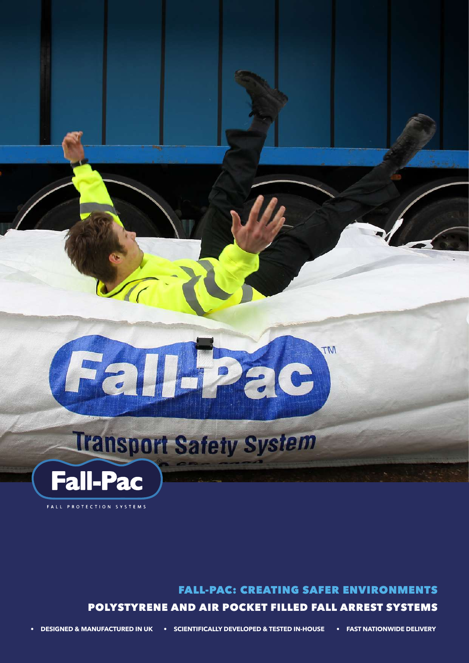# **Transport Safety System**

**Gán Pác** 



FALL PROTECTION SYSTEMS

## FALL-PAC: CREATING SAFER ENVIRONMENTS

MT

POLYSTYRENE AND AIR POCKET FILLED FALL ARREST SYSTEMS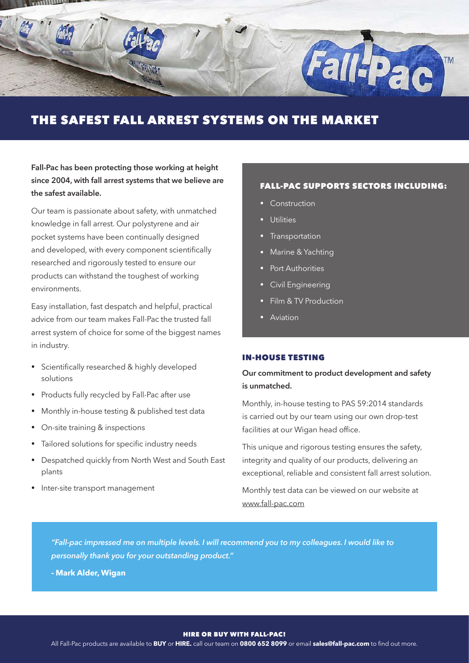

# THE SAFEST FALL ARREST SYSTEMS ON THE MARKET

**Fall-Pac has been protecting those working at height since 2004, with fall arrest systems that we believe are the safest available.**

Our team is passionate about safety, with unmatched knowledge in fall arrest. Our polystyrene and air pocket systems have been continually designed and developed, with every component scientifically researched and rigorously tested to ensure our products can withstand the toughest of working environments.

Easy installation, fast despatch and helpful, practical advice from our team makes Fall-Pac the trusted fall arrest system of choice for some of the biggest names in industry.

- Scientifically researched & highly developed solutions
- Products fully recycled by Fall-Pac after use
- Monthly in-house testing & published test data
- On-site training & inspections
- Tailored solutions for specific industry needs
- Despatched quickly from North West and South East plants
- Inter-site transport management

#### FALL-PAC SUPPORTS SECTORS INCLUDING:

- **Construction**
- **Utilities**
- **Transportation**
- Marine & Yachting
- **Port Authorities**
- Civil Engineering
- Film & TV Production
- **Aviation**

#### IN-HOUSE TESTING

**Our commitment to product development and safety is unmatched.** 

Monthly, in-house testing to PAS 59:2014 standards is carried out by our team using our own drop-test facilities at our Wigan head office.

This unique and rigorous testing ensures the safety, integrity and quality of our products, delivering an exceptional, reliable and consistent fall arrest solution.

Monthly test data can be viewed on our website at <www.fall-pac.com>

*"Fall-pac impressed me on multiple levels. I will recommend you to my colleagues. I would like to personally thank you for your outstanding product."*

**- Mark Alder, Wigan**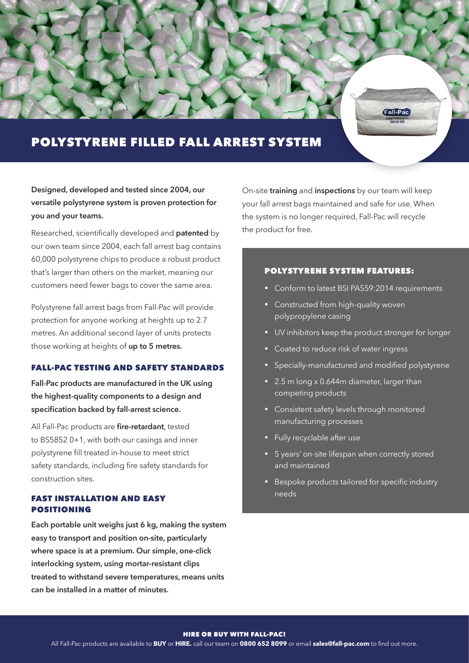

### **Designed, developed and tested since 2004, our versatile polystyrene system is proven protection for you and your teams.**

Researched, scientifically developed and **patented** by our own team since 2004, each fall arrest bag contains 60,000 polystyrene chips to produce a robust product that's larger than others on the market, meaning our customers need fewer bags to cover the same area.

Polystyrene fall arrest bags from Fall-Pac will provide protection for anyone working at heights up to 2.7 metres. An additional second layer of units protects those working at heights of **up to 5 metres.**

#### FALL-PAC TESTING AND SAFETY STANDARDS

**Fall-Pac products are manufactured in the UK using the highest-quality components to a design and specification backed by fall-arrest science.**

All Fall-Pac products are **fire-retardant**, tested to BS5852 0+1, with both our casings and inner polystyrene fill treated in-house to meet strict safety standards, including fire safety standards for construction sites.

#### FAST INSTALLATION AND EASY POSITIONING

**Each portable unit weighs just 6 kg, making the system easy to transport and position on-site, particularly where space is at a premium. Our simple, one-click interlocking system, using mortar-resistant clips treated to withstand severe temperatures, means units can be installed in a matter of minutes.**

On-site **training** and **inspections** by our team will keep your fall arrest bags maintained and safe for use. When the system is no longer required, Fall-Pac will recycle the product for free.

#### POLYSTYRENE SYSTEM FEATURES:

- • Conform to latest BSI PAS59:2014 requirements
- Constructed from high-quality woven polypropylene casing
- • UV inhibitors keep the product stronger for longer
- • Coated to reduce risk of water ingress
- Specially-manufactured and modified polystyrene
- 2.5 m long x 0.644m diameter, larger than competing products
- Consistent safety levels through monitored manufacturing processes
- Fully recyclable after use
- • 5 years' on-site lifespan when correctly stored and maintained
- Bespoke products tailored for specific industry needs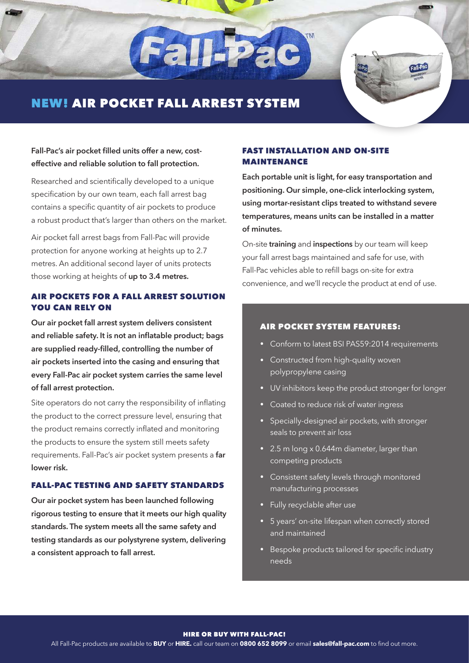

# NEW! AIR POCKET FALL ARREST SYSTEM

**Fall**eza

#### **Fall-Pac's air pocket filled units offer a new, costeffective and reliable solution to fall protection.**

Researched and scientifically developed to a unique specification by our own team, each fall arrest bag contains a specific quantity of air pockets to produce a robust product that's larger than others on the market.

Air pocket fall arrest bags from Fall-Pac will provide protection for anyone working at heights up to 2.7 metres. An additional second layer of units protects those working at heights of **up to 3.4 metres.**

#### AIR POCKETS FOR A FALL ARREST SOLUTION YOU CAN RELY ON

**Our air pocket fall arrest system delivers consistent and reliable safety. It is not an inflatable product; bags are supplied ready-filled, controlling the number of air pockets inserted into the casing and ensuring that every Fall-Pac air pocket system carries the same level of fall arrest protection.**

Site operators do not carry the responsibility of inflating the product to the correct pressure level, ensuring that the product remains correctly inflated and monitoring the products to ensure the system still meets safety requirements. Fall-Pac's air pocket system presents a **far lower risk.**

#### FALL-PAC TESTING AND SAFETY STANDARDS

**Our air pocket system has been launched following rigorous testing to ensure that it meets our high quality standards. The system meets all the same safety and testing standards as our polystyrene system, delivering a consistent approach to fall arrest.**

#### FAST INSTALLATION AND ON-SITE MAINTENANCE

**Each portable unit is light, for easy transportation and positioning. Our simple, one-click interlocking system, using mortar-resistant clips treated to withstand severe temperatures, means units can be installed in a matter of minutes.**

On-site **training** and **inspections** by our team will keep your fall arrest bags maintained and safe for use, with Fall-Pac vehicles able to refill bags on-site for extra convenience, and we'll recycle the product at end of use.

#### AIR POCKET SYSTEM FEATURES:

- Conform to latest BSI PAS59:2014 requirements
- Constructed from high-quality woven polypropylene casing
- UV inhibitors keep the product stronger for longer
- Coated to reduce risk of water ingress
- Specially-designed air pockets, with stronger seals to prevent air loss
- 2.5 m long x 0.644m diameter, larger than competing products
- Consistent safety levels through monitored manufacturing processes
- Fully recyclable after use
- 5 years' on-site lifespan when correctly stored and maintained
- Bespoke products tailored for specific industry needs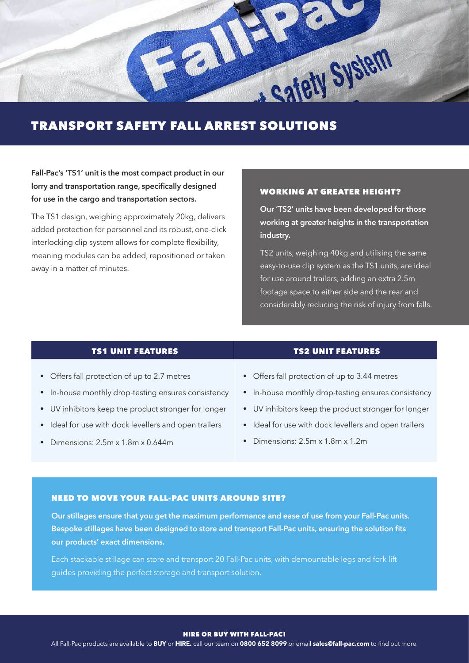

# TRANSPORT SAFETY FALL ARREST SOLUTIONS

**Fall-Pac's 'TS1' unit is the most compact product in our lorry and transportation range, specifically designed for use in the cargo and transportation sectors.**

The TS1 design, weighing approximately 20kg, delivers added protection for personnel and its robust, one-click interlocking clip system allows for complete flexibility, meaning modules can be added, repositioned or taken away in a matter of minutes.

#### WORKING AT GREATER HEIGHT?

**Our 'TS2' units have been developed for those working at greater heights in the transportation industry.**

TS2 units, weighing 40kg and utilising the same easy-to-use clip system as the TS1 units, are ideal for use around trailers, adding an extra 2.5m footage space to either side and the rear and considerably reducing the risk of injury from falls.

- • Offers fall protection of up to 2.7 metres
- In-house monthly drop-testing ensures consistency
- • UV inhibitors keep the product stronger for longer
- Ideal for use with dock levellers and open trailers
- Dimensions:  $2.5m \times 1.8m \times 0.644m$

#### TS1 UNIT FEATURES TO THE TEATURES TO THE TEATURES

- • Offers fall protection of up to 3.44 metres
- In-house monthly drop-testing ensures consistency
- • UV inhibitors keep the product stronger for longer
- Ideal for use with dock levellers and open trailers
- • Dimensions: 2.5m x 1.8m x 1.2m

#### NEED TO MOVE YOUR FALL-PAC UNITS AROUND SITE?

**Our stillages ensure that you get the maximum performance and ease of use from your Fall-Pac units. Bespoke stillages have been designed to store and transport Fall-Pac units, ensuring the solution fits our products' exact dimensions.**

Each stackable stillage can store and transport 20 Fall-Pac units, with demountable legs and fork lift guides providing the perfect storage and transport solution.